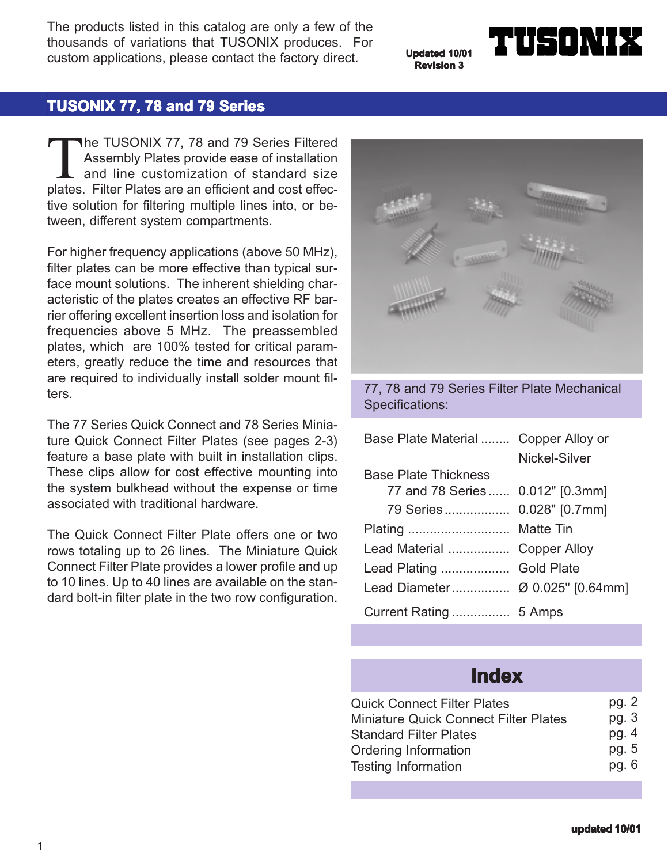The products listed in this catalog are only a few of the thousands of variations that TUSONIX produces. For custom applications, please contact the factory direct.

**Updated 10/01 Revision 3**

# $\blacksquare$

# **TUSONIX 77, 78 and 79 Series**

The TUSONIX 77, 78 and 79 Series Filtered<br>Assembly Plates provide ease of installation<br>and line customization of standard size<br>plates. Filter Plates are an efficient and cost effec-Assembly Plates provide ease of installation and line customization of standard size plates. Filter Plates are an efficient and cost effective solution for filtering multiple lines into, or between, different system compartments.

For higher frequency applications (above 50 MHz), filter plates can be more effective than typical surface mount solutions. The inherent shielding characteristic of the plates creates an effective RF barrier offering excellent insertion loss and isolation for frequencies above 5 MHz. The preassembled plates, which are 100% tested for critical parameters, greatly reduce the time and resources that are required to individually install solder mount filters.

The 77 Series Quick Connect and 78 Series Miniature Quick Connect Filter Plates (see pages 2-3) feature a base plate with built in installation clips. These clips allow for cost effective mounting into the system bulkhead without the expense or time associated with traditional hardware.

The Quick Connect Filter Plate offers one or two rows totaling up to 26 lines. The Miniature Quick Connect Filter Plate provides a lower profile and up to 10 lines. Up to 40 lines are available on the standard bolt-in filter plate in the two row configuration.



77, 78 and 79 Series Filter Plate Mechanical Specifications:

| Base Plate Material  Copper Alloy or |               |  |  |
|--------------------------------------|---------------|--|--|
|                                      | Nickel-Silver |  |  |
| <b>Base Plate Thickness</b>          |               |  |  |
| 77 and 78 Series 0.012" [0.3mm]      |               |  |  |
| 79 Series 0.028" [0.7mm]             |               |  |  |
|                                      |               |  |  |
| Lead Material  Copper Alloy          |               |  |  |
| Lead Plating  Gold Plate             |               |  |  |
|                                      |               |  |  |
|                                      |               |  |  |

# **Index**

| <b>Quick Connect Filter Plates</b>           | pg. $2$ |
|----------------------------------------------|---------|
| <b>Miniature Quick Connect Filter Plates</b> | pg. 3   |
| <b>Standard Filter Plates</b>                | pg. $4$ |
| Ordering Information                         | pg. 5   |
| <b>Testing Information</b>                   | pg. $6$ |
|                                              |         |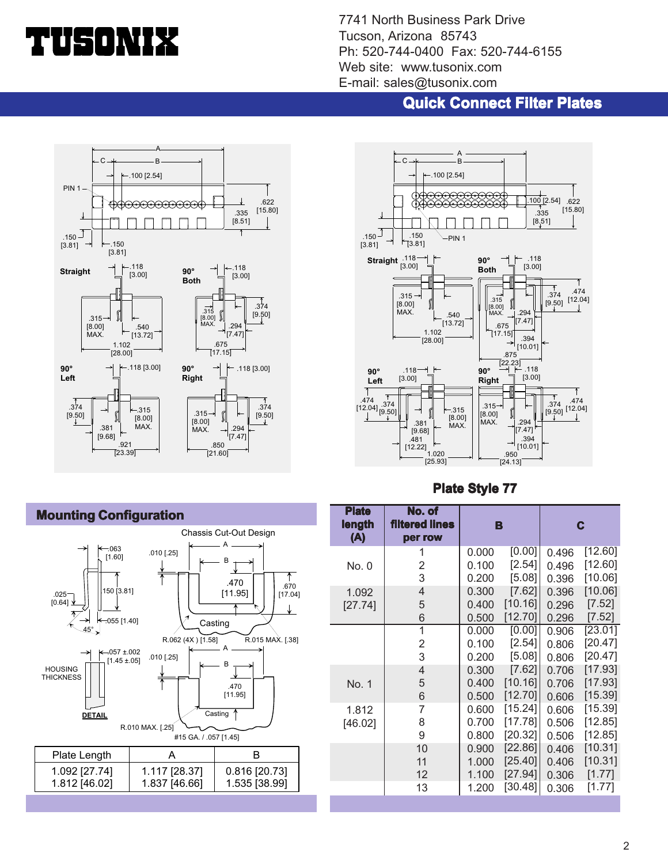# d i Sonvit

7741 North Business Park Drive Tucson, Arizona 85743 Ph: 520-744-0400 Fax: 520-744-6155 Web site: www.tusonix.com E-mail: sales@tusonix.com

## **Quick Connect Filter Plates**





## **Plate Style 77**



1.837 [46.66]

1.535 [38.99]

| [0.00]<br>0.000<br>0.496<br>1<br>[2.54]<br>2<br>0.100<br>No. 0<br>0.496<br>3<br>$[5.08]$<br>0.200<br>0.396<br>[7.62]<br>4<br>0.300<br>0.396<br>1.092<br>[10.16]<br>5<br>0.400<br>0.296<br>[27.74]<br>[12.70]<br>6<br>0.500<br>0.296<br>$\overline{1}$<br>[0.00]<br>0.000<br>0.906<br>$[2.54]$<br>$\overline{2}$<br>0.100<br>0.806<br>3<br>[5.08]<br>0.200<br>0.806 | <b>Plate</b><br>length<br>(A) | No. of<br><b>filtered lines</b><br>per row | B | C       |
|--------------------------------------------------------------------------------------------------------------------------------------------------------------------------------------------------------------------------------------------------------------------------------------------------------------------------------------------------------------------|-------------------------------|--------------------------------------------|---|---------|
|                                                                                                                                                                                                                                                                                                                                                                    |                               |                                            |   | [12.60] |
|                                                                                                                                                                                                                                                                                                                                                                    |                               |                                            |   | [12.60] |
|                                                                                                                                                                                                                                                                                                                                                                    |                               |                                            |   | [10.06] |
|                                                                                                                                                                                                                                                                                                                                                                    |                               |                                            |   | [10.06] |
|                                                                                                                                                                                                                                                                                                                                                                    |                               |                                            |   | [7.52]  |
|                                                                                                                                                                                                                                                                                                                                                                    |                               |                                            |   | [7.52]  |
|                                                                                                                                                                                                                                                                                                                                                                    |                               |                                            |   | [23.01] |
|                                                                                                                                                                                                                                                                                                                                                                    |                               |                                            |   | [20.47] |
|                                                                                                                                                                                                                                                                                                                                                                    |                               |                                            |   | [20.47] |
| $[7.62]$<br>4<br>0.300<br>0.706                                                                                                                                                                                                                                                                                                                                    |                               |                                            |   | [17.93] |
| [10.16]<br>5<br>0.400<br>No. 1<br>0.706                                                                                                                                                                                                                                                                                                                            |                               |                                            |   | [17.93] |
| [12.70]<br>6<br>0.500<br>0.606                                                                                                                                                                                                                                                                                                                                     |                               |                                            |   | [15.39] |
| [15.24]<br>7<br>0.600<br>1.812<br>0.606                                                                                                                                                                                                                                                                                                                            |                               |                                            |   | [15.39] |
| [17.78]<br>8<br>0.700<br>0.506<br>[46.02]                                                                                                                                                                                                                                                                                                                          |                               |                                            |   | [12.85] |
| 9<br>[20.32]<br>0.800<br>0.506                                                                                                                                                                                                                                                                                                                                     |                               |                                            |   | [12.85] |
| [22.86]<br>10<br>0.900<br>0.406                                                                                                                                                                                                                                                                                                                                    |                               |                                            |   | [10.31] |
| [25.40]<br>11<br>1.000<br>0.406                                                                                                                                                                                                                                                                                                                                    |                               |                                            |   | [10.31] |
| [27.94]<br>12<br>1.100<br>0.306                                                                                                                                                                                                                                                                                                                                    |                               |                                            |   | [1.77]  |
| [30.48]<br>13<br>1.200<br>0.306                                                                                                                                                                                                                                                                                                                                    |                               |                                            |   | [1.77]  |

# **Mounting Configuration**

1.812 [46.02]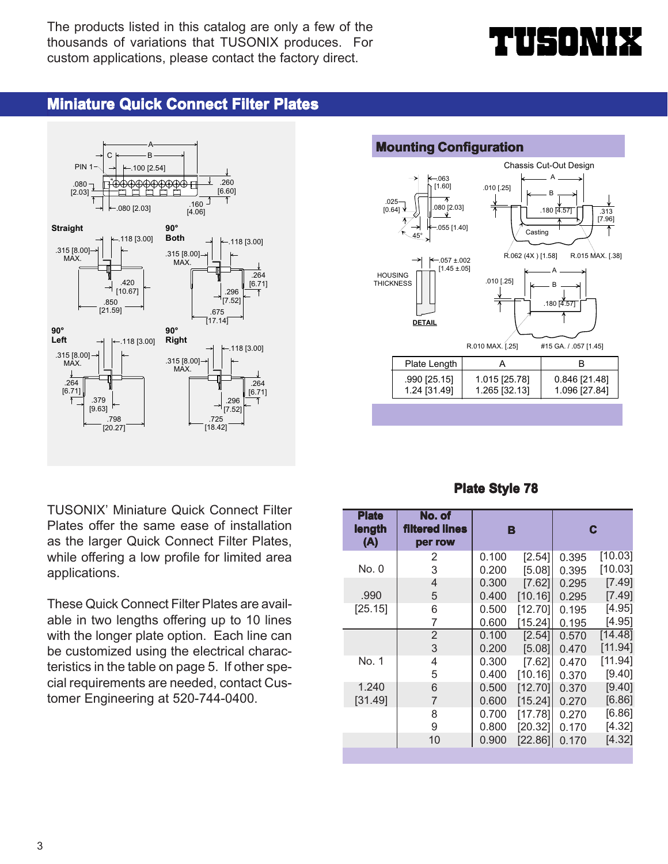The products listed in this catalog are only a few of the thousands of variations that TUSONIX produces. For custom applications, please contact the factory direct.

# ╽┟╤╡╻┇┞╽

# **Miniature Quick Connect Filter Plates**



TUSONIX' Miniature Quick Connect Filter Plates offer the same ease of installation as the larger Quick Connect Filter Plates, while offering a low profile for limited area applications.

These Quick Connect Filter Plates are available in two lengths offering up to 10 lines with the longer plate option. Each line can be customized using the electrical characteristics in the table on page 5. If other special requirements are needed, contact Customer Engineering at 520-744-0400.



### **Plate Style 78**

| <b>Plate</b><br>length<br>(A) | No. of<br><b>filtered lines</b><br>per row | B     |         |       | C       |
|-------------------------------|--------------------------------------------|-------|---------|-------|---------|
|                               | 2                                          | 0.100 | [2.54]  | 0.395 | [10.03] |
| No. 0                         | 3                                          | 0.200 | [5.08]  | 0.395 | [10.03] |
|                               | $\overline{4}$                             | 0.300 | [7.62]  | 0.295 | [7.49]  |
| .990                          | 5                                          | 0.400 | [10.16] | 0.295 | [7.49]  |
| [25.15]                       | 6                                          | 0.500 | [12.70] | 0.195 | [4.95]  |
|                               | 7                                          | 0.600 | [15.24] | 0.195 | [4.95]  |
|                               | $\overline{2}$                             | 0.100 | [2.54]  | 0.570 | [14.48] |
|                               | 3                                          | 0.200 | [5.08]  | 0.470 | [11.94] |
| No. 1                         | 4                                          | 0.300 | [7.62]  | 0.470 | [11.94] |
|                               | 5                                          | 0.400 | [10.16] | 0.370 | [9.40]  |
| 1.240                         | 6                                          | 0.500 | [12.70] | 0.370 | [9.40]  |
| [31.49]                       | 7                                          | 0.600 | [15.24] | 0.270 | [6.86]  |
|                               | 8                                          | 0.700 | [17.78] | 0.270 | [6.86]  |
|                               | 9                                          | 0.800 | [20.32] | 0.170 | [4.32]  |
|                               | 10                                         | 0.900 | [22.86] | 0.170 | [4.32]  |
|                               |                                            |       |         |       |         |

#### 3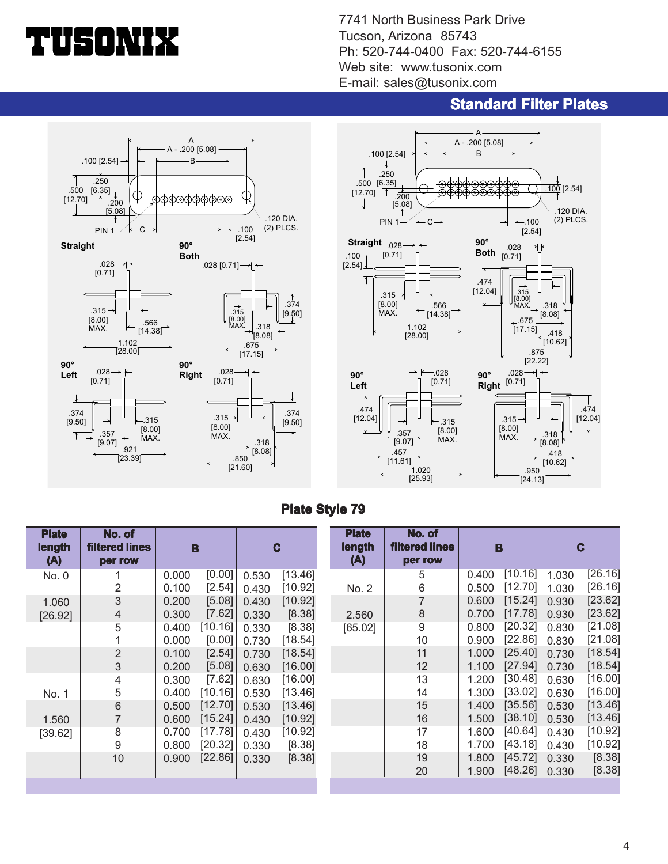# 150 M

7741 North Business Park Drive Tucson, Arizona 85743 Ph: 520-744-0400 Fax: 520-744-6155 Web site: www.tusonix.com E-mail: sales@tusonix.com

## **Standard Filter Plates**





### **Plate Style 79**

| <b>Plate</b> | No. of                |                   |       |         | <b>Plate</b> | No. of         |       |         |       |         |
|--------------|-----------------------|-------------------|-------|---------|--------------|----------------|-------|---------|-------|---------|
| length       | <b>filtered lines</b> | B                 | C     |         | length       | filtered lines |       | в       |       | C       |
| (A)          | per row               |                   |       |         | (A)          | per row        |       |         |       |         |
| No. 0        |                       | [0.00]<br>0.000   | 0.530 | [13.46] |              | 5              | 0.400 | [10.16] | 1.030 | [26.16] |
|              | 2                     | $[2.54]$<br>0.100 | 0.430 | [10.92] | No. 2        | 6              | 0.500 | [12.70] | 1.030 | [26.16] |
| 1.060        | 3                     | [5.08]<br>0.200   | 0.430 | [10.92] |              | 7              | 0.600 | [15.24] | 0.930 | [23.62] |
| [26.92]      | 4                     | [7.62]<br>0.300   | 0.330 | [8.38]  | 2.560        | 8              | 0.700 | [17.78] | 0.930 | [23.62] |
|              | 5                     | [10.16]]<br>0.400 | 0.330 | [8.38]  | [65.02]      | 9              | 0.800 | [20.32] | 0.830 | [21.08] |
|              |                       | [0.00]<br>0.000   | 0.730 | [18.54] |              | 10             | 0.900 | [22.86] | 0.830 | [21.08] |
|              | $\overline{2}$        | $[2.54]$<br>0.100 | 0.730 | [18.54] |              | 11             | 1.000 | [25.40] | 0.730 | [18.54] |
|              | 3                     | [5.08]<br>0.200   | 0.630 | [16.00] |              | 12             | 1.100 | [27.94] | 0.730 | [18.54] |
|              | 4                     | $[7.62]$<br>0.300 | 0.630 | [16.00] |              | 13             | 1.200 | [30.48] | 0.630 | [16.00] |
| No. 1        | 5                     | [10.16]<br>0.400  | 0.530 | [13.46] |              | 14             | 1.300 | [33.02] | 0.630 | [16.00] |
|              | 6                     | [12.70]<br>0.500  | 0.530 | [13.46] |              | 15             | 1.400 | [35.56] | 0.530 | [13.46] |
| 1.560        |                       | [15.24]<br>0.600  | 0.430 | [10.92] |              | 16             | 1.500 | [38.10] | 0.530 | [13.46] |
| [39.62]      | 8                     | [17.78]<br>0.700  | 0.430 | [10.92] |              | 17             | 1.600 | [40.64] | 0.430 | [10.92] |
|              | 9                     | [20.32]<br>0.800  | 0.330 | [8.38]  |              | 18             | 1.700 | [43.18] | 0.430 | [10.92] |
|              | 10                    | [22.86]<br>0.900  | 0.330 | [8.38]  |              | 19             | 1.800 | [45.72] | 0.330 | [8.38]  |
|              |                       |                   |       |         |              | 20             | 1.900 | [48.26] | 0.330 | [8.38]  |
|              |                       |                   |       |         |              |                |       |         |       |         |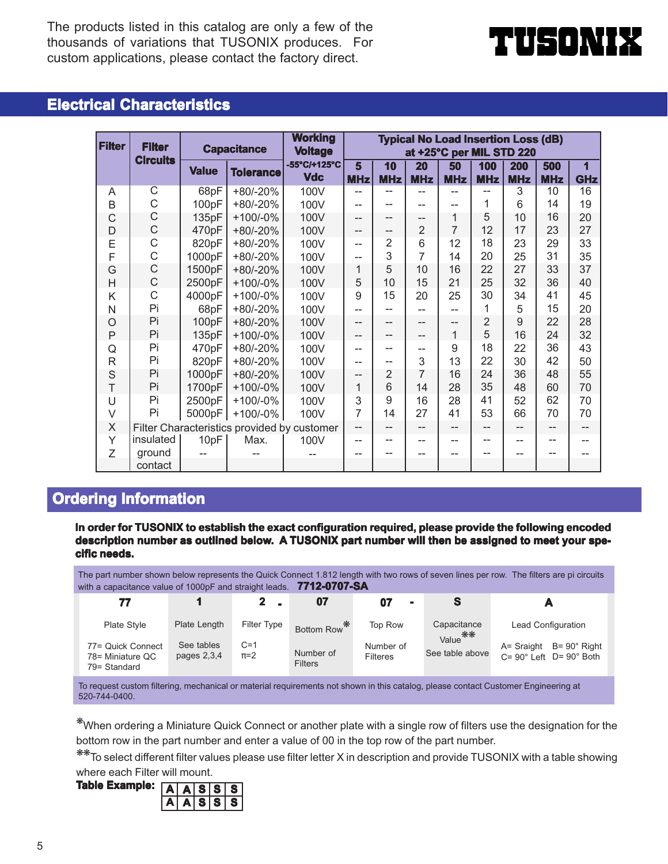The products listed in this catalog are only a few of the thousands of variations that TUSONIX produces. For custom applications, please contact the factory direct.



# **Electrical Characteristics**

| <b>Filter</b>  | <b>Filter</b>                               |              | <b>Capacitance</b> |                                              |                 |                |                   |                  |                   | <b>Typical No Load Insertion Loss (dB)</b><br>at +25°C per MIL STD 220 |                   |                 |
|----------------|---------------------------------------------|--------------|--------------------|----------------------------------------------|-----------------|----------------|-------------------|------------------|-------------------|------------------------------------------------------------------------|-------------------|-----------------|
|                | <b>Circuits</b>                             | <b>Value</b> | <b>Tolerance</b>   | <b>Voltage</b><br>-55°C/+125°C<br><b>Vdc</b> | 5<br><b>MHz</b> | 10<br>MHz      | 20<br><b>MHz</b>  | 50<br><b>MHz</b> | 100<br><b>MHz</b> | 200<br><b>MHz</b>                                                      | 500<br><b>MHz</b> | 1<br><b>GHz</b> |
| A              | $\overline{\text{C}}$                       | 68pF         | +80/-20%           | 100V                                         |                 |                |                   |                  |                   | 3                                                                      | 10                | 16              |
| B              | C                                           | 100pF        | +80/-20%           | 100V                                         |                 | --             |                   | $-$              | 1                 | 6                                                                      | 14                | 19              |
| C              | С                                           | 135pF        | $+100/-0%$         | 100V                                         | --              | $-$            | --                | 1                | 5                 | 10                                                                     | 16                | 20              |
| D              | C                                           | 470pF        | +80/-20%           | 100V                                         | --              | --             | $\overline{2}$    | $\overline{7}$   | 12                | 17                                                                     | 23                | 27              |
| E              | C                                           | 820pF        | +80/-20%           | 100V                                         | $-$             | $\overline{2}$ | 6                 | 12               | 18                | 23                                                                     | 29                | 33              |
| F              | C                                           | 1000pF       | +80/-20%           | 100V                                         |                 | 3              | 7                 | 14               | 20                | 25                                                                     | 31                | 35              |
| G              | $\mathsf C$                                 | 1500pF       | +80/-20%           | 100V                                         | 1               | 5              | 10                | 16               | 22                | 27                                                                     | 33                | 37              |
| $\overline{H}$ | C                                           | 2500pF       | $+100/-0%$         | 100V                                         | 5               | 10             | 15                | 21               | 25                | 32                                                                     | 36                | 40              |
| K              | C                                           | 4000pF       | $+100/-0%$         | 100V                                         | 9               | 15             | 20                | 25               | 30                | 34                                                                     | 41                | 45              |
| N              | Pi                                          | 68pF         | +80/-20%           | 100V                                         |                 | --             |                   | $-$              | 1                 | 5                                                                      | 15                | 20              |
| $\circ$        | Pi                                          | 100pF        | $+80/-20%$         | 100V                                         | $-$             | --             | --                | $-$              | $\overline{2}$    | 9                                                                      | 22                | 28              |
| $\mathsf{P}$   | Pi                                          | 135pF        | $+100/-0%$         | 100V                                         | --              | --             | --                | 1                | 5                 | 16                                                                     | 24                | 32              |
| Q              | Pi                                          | 470pF        | +80/-20%           | 100V                                         |                 | --             | --                | 9                | 18                | 22                                                                     | 36                | 43              |
| $\mathsf{R}$   | Pi                                          | 820pF        | +80/-20%           | 100V                                         |                 | --             | 3                 | 13               | 22                | 30                                                                     | 42                | 50              |
| $\mathsf S$    | Pi                                          | 1000pF       | +80/-20%           | 100V                                         | --              | $\overline{2}$ | 7                 | 16               | 24                | 36                                                                     | 48                | 55              |
| T              | Pi                                          | 1700pF       | $+100/-0%$         | 100V                                         | 1               | 6              | 14                | 28               | 35                | 48                                                                     | 60                | 70              |
| U              | Pi                                          | 2500pF       | $+100/-0%$         | 100V                                         | 3               | 9              | 16                | 28               | 41                | 52                                                                     | 62                | 70              |
| $\vee$         | Pi                                          | 5000pF       | $+100/-0%$         | 100V                                         | 7               | 14             | 27                | 41               | 53                | 66                                                                     | 70                | 70              |
| X              | Filter Characteristics provided by customer |              |                    | $-$                                          | --              | --             | $\qquad \qquad -$ | --               | --                | --                                                                     |                   |                 |
| Y              | insulated                                   | 10pF         | Max.               | 100V                                         |                 | --             |                   |                  |                   |                                                                        |                   |                 |
| Z              | ground                                      |              |                    |                                              |                 |                |                   |                  |                   |                                                                        |                   |                 |
|                | contact                                     |              |                    |                                              |                 |                |                   |                  |                   |                                                                        |                   |                 |

# **Ordering Information**

**In order for TUSONIX to establish the exact configuration required, please provide the following encoded** description number as outlined below. A TUSONIX part number will then be assigned to meet your spe**cific needs. needs.**

The part number shown below represents the Quick Connect 1.812 length with two rows of seven lines per row. The filters are pi circuits with a capacitance value of 1000pF and straight leads. **7712-0707-SA**

| 77                                                    |                             |                  |                             | $\blacksquare$               |                                    |                                                                               |
|-------------------------------------------------------|-----------------------------|------------------|-----------------------------|------------------------------|------------------------------------|-------------------------------------------------------------------------------|
| Plate Style                                           | Plate Length                | Filter Type      | Bottom Row*                 | Top Row                      | Capacitance<br>Value <sup>**</sup> | <b>Lead Configuration</b>                                                     |
| 77= Quick Connect<br>78= Miniature QC<br>79= Standard | See tables<br>pages $2,3,4$ | $C=1$<br>$\pi=2$ | Number of<br><b>Filters</b> | Number of<br><b>Filteres</b> | See table above                    | $A =$ Sraight $B = 90^\circ$ Right<br>$C = 90^\circ$ Left $D = 90^\circ$ Both |

To request custom filtering, mechanical or material requirements not shown in this catalog, please contact Customer Engineering at 520-744-0400.

❋When ordering a Miniature Quick Connect or another plate with a single row of filters use the designation for the bottom row in the part number and enter a value of 00 in the top row of the part number.

❋❋To select different filter values please use filter letter X in description and provide TUSONIX with a table showing where each Filter will mount.